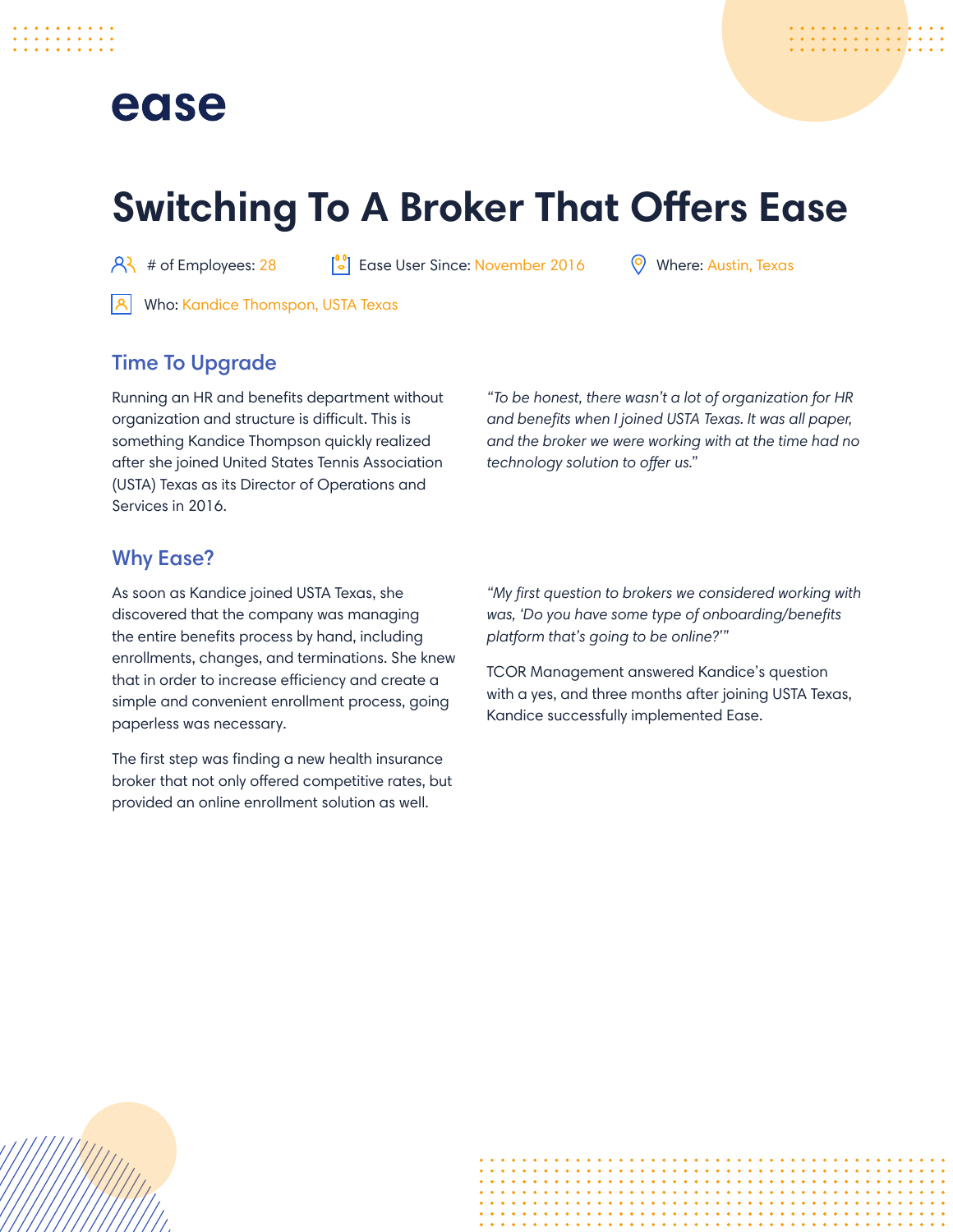## ease

# **Switching To A Broker That Offers Ease**

 $\beta$  # of Employees: 28  $\begin{bmatrix} 0 \\ -1 \end{bmatrix}$  Ease User Since: November 2016  $\qquad$  Where: Austin, Texas

**A** Who: Kandice Thomspon, USTA Texas

## Time To Upgrade

Running an HR and benefits department without organization and structure is difficult. This is something Kandice Thompson quickly realized after she joined United States Tennis Association (USTA) Texas as its Director of Operations and Services in 2016.

*"To be honest, there wasn't a lot of organization for HR and benefits when I joined USTA Texas. It was all paper, and the broker we were working with at the time had no technology solution to offer us."*

### Why Ease?

As soon as Kandice joined USTA Texas, she discovered that the company was managing the entire benefits process by hand, including enrollments, changes, and terminations. She knew that in order to increase efficiency and create a simple and convenient enrollment process, going paperless was necessary.

The first step was finding a new health insurance broker that not only offered competitive rates, but provided an online enrollment solution as well.

*"My first question to brokers we considered working with was, 'Do you have some type of onboarding/benefits platform that's going to be online?'"*

TCOR Management answered Kandice's question with a yes, and three months after joining USTA Texas, Kandice successfully implemented Ease.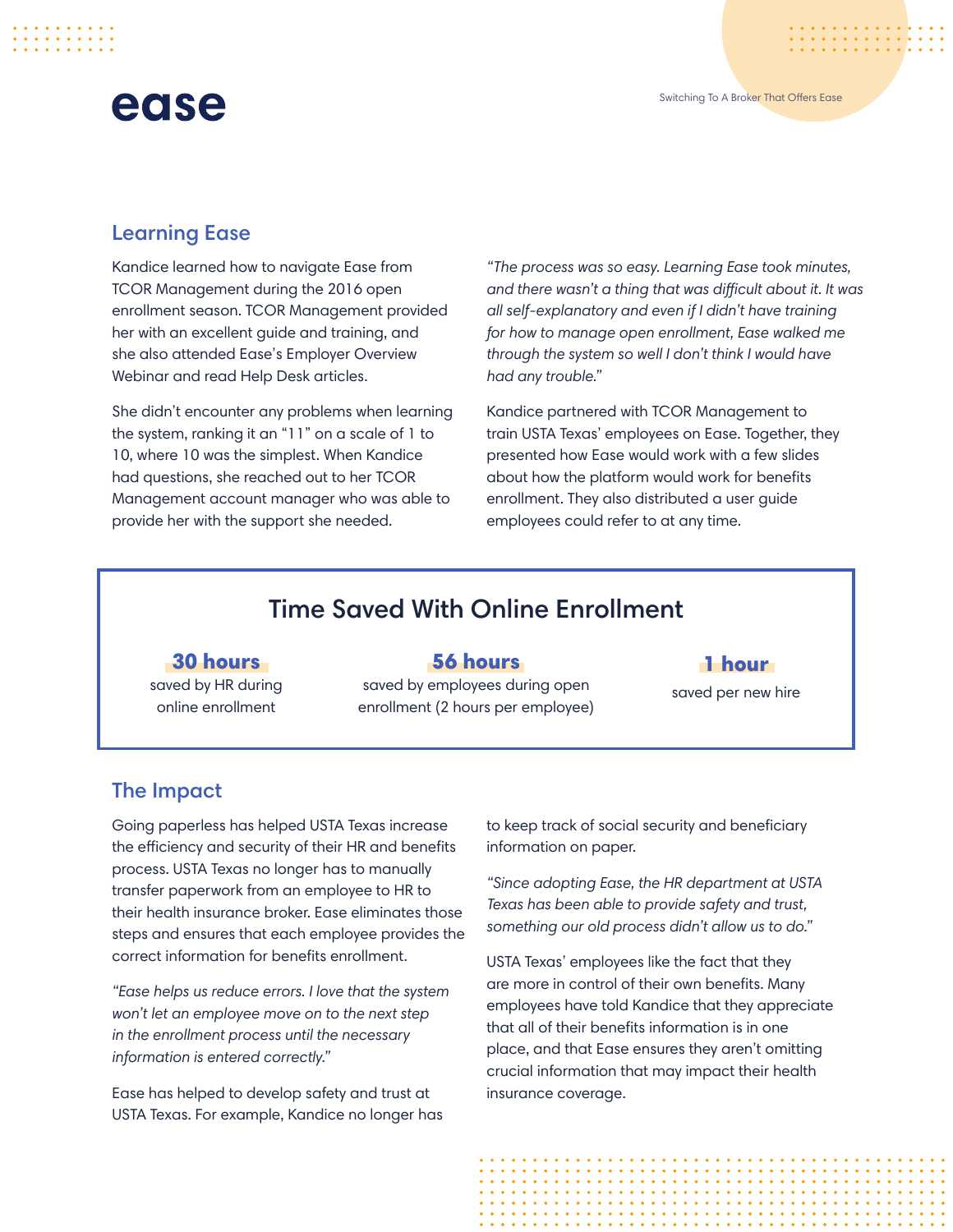## ease

### Learning Ease

Kandice learned how to navigate Ease from TCOR Management during the 2016 open enrollment season. TCOR Management provided her with an excellent guide and training, and she also attended Ease's Employer Overview Webinar and read Help Desk articles.

She didn't encounter any problems when learning the system, ranking it an "11" on a scale of 1 to 10, where 10 was the simplest. When Kandice had questions, she reached out to her TCOR Management account manager who was able to provide her with the support she needed.

*"The process was so easy. Learning Ease took minutes, and there wasn't a thing that was difficult about it. It was all self-explanatory and even if I didn't have training for how to manage open enrollment, Ease walked me through the system so well I don't think I would have had any trouble."*

Kandice partnered with TCOR Management to train USTA Texas' employees on Ease. Together, they presented how Ease would work with a few slides about how the platform would work for benefits enrollment. They also distributed a user guide employees could refer to at any time.

## Time Saved With Online Enrollment

30 hours saved by HR during online enrollment

#### 56 hours

saved by employees during open enrollment (2 hours per employee)

#### 1 hour

saved per new hire

### The Impact

Going paperless has helped USTA Texas increase the efficiency and security of their HR and benefits process. USTA Texas no longer has to manually transfer paperwork from an employee to HR to their health insurance broker. Ease eliminates those steps and ensures that each employee provides the correct information for benefits enrollment.

*"Ease helps us reduce errors. I love that the system won't let an employee move on to the next step in the enrollment process until the necessary information is entered correctly."*

Ease has helped to develop safety and trust at USTA Texas. For example, Kandice no longer has to keep track of social security and beneficiary information on paper.

*"Since adopting Ease, the HR department at USTA Texas has been able to provide safety and trust, something our old process didn't allow us to do."*

USTA Texas' employees like the fact that they are more in control of their own benefits. Many employees have told Kandice that they appreciate that all of their benefits information is in one place, and that Ease ensures they aren't omitting crucial information that may impact their health insurance coverage.